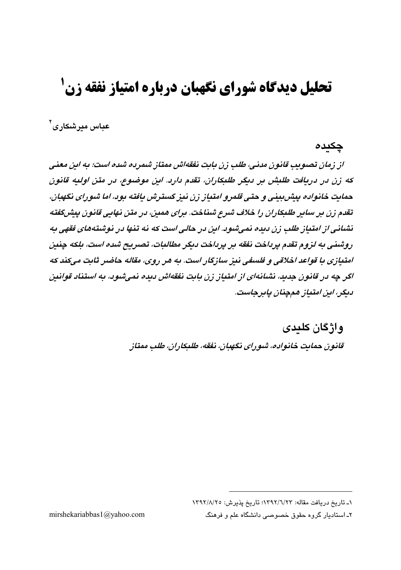# **تحلیل دیدگاه شورای نگهبان درباره امتیاز نفقه زن<sup>1</sup>**

عباس میر شکار ی<sup>۲</sup>

### چکىدە

از زمان تصویب قانون مدنی، طلب زن بابت نفقهاش ممتاز شمریه شده است؛ به این معنی که زن در دریافت طلبش بر دیگر طلبکاران، تقدم دارد. این موضوع، در متن اولیه قانون حمایت خانواده پیش بینی و حتی قلمرو امتیاز زن نیز گسترش یافته بود، اما شورای نگهبان، تقدم زن بر سایر طلبکاران را خلاف شرع شناخت. برای هفتن، در متن نهایی قانون بیش گفته نشانی از امتیاز طلب زن دیده نمیشود. این در حالی است که نه تنها در نوشتههای فقهی به روشنی به لزوم تقدم پرداخت نفقه بر پرداخت دیگر مطالبات، تصریح شده است، بلکه چنین امتيازي با قواعد اخلاقي و فلسفي نيز سازگار است. به هر روي، مقاله حاضر ثابت ميكند كه اگر چه در قانون جدید، نشانهای از امتیاز زن بابت نفقهاش دیده نمیشود، به استناد قوانین دىگر، اىن امتىاز ھەچنان پايرچاست.

> واژگان کلیدی قانون حمایت خانواده، شو رای نگهبان، نفقه، طلبکاران، طلب ممتاز

mirshekariabbas1@yahoo.com

١ـ تاريخ دريافت مقاله: ١٣٩٢/٦/٢٣؛ تاريخ پذيرش: ١٣٩٢/٨/٢٥

۲ـ استادیار گروه حقوق خصوصی دانشگاه علم و فرهنگ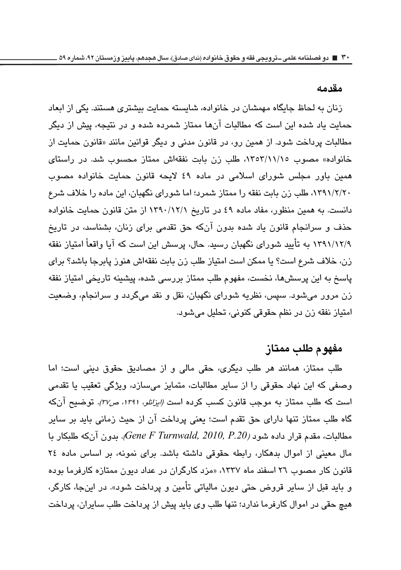#### مق*د*مه

زنان به لحاظ جایگاه مهمشان در خانواده، شایسته حمایت بیشتری هستند. یکی از ابعاد حمایت یاد شده این است که مطالبات آنها ممتاز شمرده شده و در نتیجه، پیش از دیگر مطالبات پرداخت شود. از همین رو، در قانون مدنی و دیگر قوانین مانند «قانون حمایت از خانواده» مصوب ١٣٥٣/١١/١٥، طلب زن بابت نفقهاش ممتاز محسوب شد. در راستای همین باور مجلس شورای اسلامی در ماده ٤٩ لایحه قانون حمایت خانواده مصوب \_)7`^`b'd(^ys%^y;'Ta^7V^8%'o¦2sy/ دانست. به همین منظور، مفاد ماده ٤٩ در تاریخ ۱۳۹۰/۱۲/۱ از متن قانون حمایت خانواده حذف و سرانجام قانون یاد شده بدون آنکه حق تقدمی برای زنان، بشناسد، در تاریخ ۱۳۹۱/۱۲/۹ به تایید شورا*ی* نگهبان رسید. حال، پرسش این است که ایا واقعا امتیاز نفقه زن، خلاف شرع است؟ يا ممكن است امتياز طلب زن بابت نفقهاش هنوز يابرجا باشد؟ براي پاسخ به این پرسشها، نخست، مفهوم طلب ممتاز بررسی شده، پیشینه تاریخی امتیاز نفقه زن مرور میشود. سپس، نظریه شورای نگهبان، نقل و نقد میگردد و سرانجام، وضعیت امتياز نفقه زن در نظم حقوقي كنوني، تحليل مي شود.

### مفهو م طلب مم**ت**از

طلب ممتاز، همانند هر طلب دیگری، حقی مالی و از مصادیق حقوق دینی است؛ اما وصفی که این نهاد حقوقی را از سایر مطالبات، متمایز میسازد، ویژگی تعقیب یا تقدمی است که طلب ممتاز به موجب قانون ک*سب کرده است (ایزانلو، ۱۳۹۱، ص۳۷).* توضیح آنکه گاه طلب ممتاز تنها دارای حق تقدم است؛ یعنی پرداخت آن از حیث زمانی باید بر سایر مطالبات، مقدم قرار داده شود *(Gene F Turnwald, 2010, P.20). بدون* آنكه طلبكار با مال معینی از اموال بدهکار، رابطه حقوقی داشته باشد. برای نمونه، بر اساس ماده ۲٤ قانون کار مصوب ۲۲ اسفند ماه ۱۳۳۷، «مزد کارگران در عداد دیون ممتازه کارفرما بوده و بايد قبل از ساير قروض حتى ديون مالياتي تأمين و پرداخت شود». در اينجا، كارگر، هیچ حقی در اموال کارفرما ندارد؛ تنها طلب وی باید پیش از پرداخت طلب سایران، پرداخت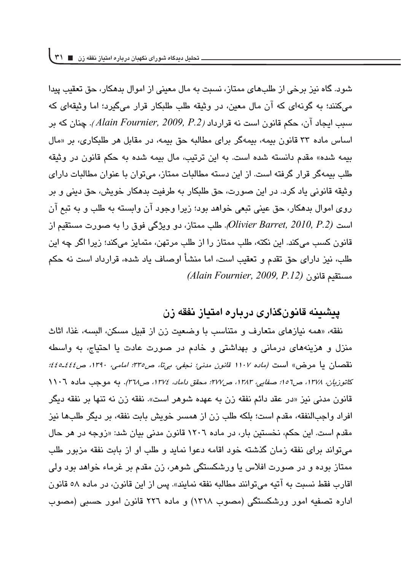شود. گاه نیز برخی از طلبهای ممتاز، نسبت به مال معینی از اموال بدهکار، حق تعقب پیدا مے کنند؛ به گونهای که آن مال معین، در وثبقه طلب طلبکار قرار مے گیرد؛ اما وثبقهای که سبب ايجاد آن، حكم قانون است نه قرارداد *(Alain Fournier, 2009, P.2). چنان* كه بر اساس ماده ۳۳ قانون بیمه، بیمهگر برای مطالبه چق بیمه، در مقابل هر طلبکاری، بر «مال بيمه شده» مقدم دانسته شده است. به اين ترتيب، مال بيمه شده به حكم قانون در وثيقه طلب بیمهگر قرار گرفته است. از این دسته مطالبات ممتاز، می توان با عنوان مطالبات دارای وثيقه قانوني ياد كرد. در اين صورت، حق طلبكار به طرفيت بدهكار خويش، حق ديني و بر روی اموال بدهکار، حق عینی تبعی خواهد بود؛ زیرا وجود آن وابسته به طلب و به تبع آن است *(Olivier Barret, 2010, P.2).* طلب ممتاز، دو ویژگی فوق را به صورت مستقیم از قانون کسب میکند. این نکته، طلب ممتاز را از طلب مرتهن، متمایز میکند؛ زیرا اگر چه این طلب، نيز داراي حق تقدم و تعقيب است، اما منشأ اوصاف ياد شده، قرارداد است نه حكم  $A$ lain Fournier, 2009, P.12) مستقيم قانون

## **پیشینه قانونگذاری دریاره امتیاز نفقه زن**

نفقه، «همه نيازهاي متعارف و متناسب با وضعيت زن از قبيل مسكن، البسه، غذا، اثاث منزل و هزینههای درمانی و بهداشتی و خادم در صورت عادت یا احتیاج، به واسطه نقصان يا مرض» است *(ماده ١١٠٧ قانون مدني؛ نجفي، بي تا، ص٣٣٥؛ امامي، ١٣٩٠، ص٤٤٤ـ٤٤٥؛* ک*اتوزیان، ۱۳۷۸، ص۱۵</del>۱: صف<i>ایی، ۱۳۸۳، ص۲۷ ؛ محقق داماد، ۱۳۷٤، ص۲۸*۳). به موجب م**اده ۱۱۰**۲ قانون مدنی نیز «در عقد دائم نفقه زن به عهده شوهر است». نفقه زن نه تنها بر نفقه دیگر افراد واجبالنفقه، مقدم است؛ بلكه طلب زن از همسر خويش بابت نفقه، بر ديگر طلبها نيز مقدم است. این حکم، نخستین بار، در ماده ۱۲۰٦ قانون مدنی بیان شد: «زوجه در هر حال می تواند برای نفقه زمان گذشته خود اقامه دعوا نماید و طلب او از بابت نفقه مزبور طلب ممتاز بوده و در صورت افلاس یا ورشکستگی شوهر، زن مقدم بر غرماء خواهد بود ولی اقارب فقط نسبت به آتیه می توانند مطالبه نفقه نمایند». پس از این قانون، در ماده ۵۸ قانون اداره تصفیه امور ورشکستگی (مصوب ۱۳۱۸) و ماده ۲۲۲ قانون امور حسبی (مصوب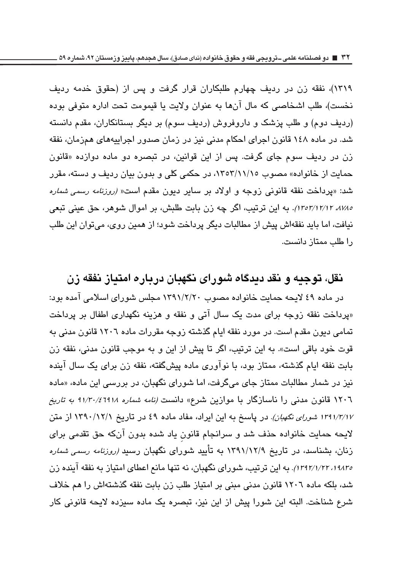١٣١٩)، نفقه زن در رديف چهارم طلبكاران قرار گرفت و پس از (حقوق خدمه ردىف نخست)، طلب اشخاصی که مال آنها به عنوان ولایت با قیمومت تحت اداره متوفی بوده (ردیف دوم) و طلب پزشک و داروفروش (ردیف سوم) بر دیگر بستانکاران، مقدم دانسته شد. در ماده ۱٤۸ قانون اجرای احکام مدنی نیز در زمان صدور اجراییههای همزمان، نفقه زن در ردیف سوم جای گرفت. پس از این قوانین، در تبصره دو ماده دوازده «قانون حمایت از خانواده» مصوب ۱۳٥۳/۱۱/۱٥، در حکمی کلی و بدون بیان ردیف و دسته، مقرر شد: «پرداخت نفقه قانونی زوجه و اولاد بر سایر دیون مقدم است*« (روزنامه رسمی شماره* ۱۲٬۱۲/۱۲/۱۲ /۱۳۰۳). به این ترتیب، اگر چه زن بابت طلبش، بر اموال شوهر، حق عینی تبعی نیافت، اما باید نفقهاش پیش از مطالبات دیگر پرداخت شود؛ از همین روی، می توان این طلب را طلب ممتاز دانست.

## <mark>ن</mark>قل، توجیه و نقد دیدگاه شورای نگهبان درباره امتیاز نفقه زن

در ماده ٤٩ لایحه حمایت خانواده مصوب ١٣٩١/٢/٢٠ مجلس شورای اسلامی امده بود: «پرداخت نفقه زوجه برای مدت یک سال آتی و نفقه و هزینه نگهداری اطفال بر پرداخت تمامی دیون مقدم است. در مورد نفقه ایام گذشته زوجه مقررات ماده ۱۲۰٦ قانون مدنی به قوت خود باقی است». به این ترتیب، اگر تا پیش از این و به موجب قانون مدنی، نفقه زن بابت نفقه ایام گذشته، ممتاز بود، با نوآوری ماده پیشگفته، نفقه زن برای یک سال آینده نیز در شمار مطالبات ممتاز جای میگرفت، اما شورای نگهبان، در بررسی این ماده، «ماده ۱۲۰٦ قانون مدنی را ناسازگار با موازین شرع» دانست *(نامه شماره ۹۱/۳۰/٤٦۹۱۸ به تاریخ* ۱۳۹۱/۳/۱۷ *شورای نگهبان)*. در پاسخ به این ایراد، مفاد ماده ٤٩ در تاریخ ۱۳۹۰/۱۲/۱ از متن لایحه حمایت خانواده حذف شد و سرانجام قانون یاد شده بدون آنکه حق تقدمی برای زنان، بشناسد، در تاریخ ۱۳۹۱/۱۲/۹ به تأیید شورای نگهبان رسید *(روزنامه رسمی شماره* ۱۹۸۳٬ ۱۲۹۲/۱/۲۲). به این ترتیب، شورای نگهبان، نه تنها مانع اعطای امتیاز به نفقه اینده زن شد، بلکه ماده ۱۲۰٦ قانون مدنی مبنی بر امتیاز طلب زن بابت نفقه گذشتهاش را هم خلاف شرع شناخت. البته این شورا پیش از این نیز، تبصره یک ماده سیزده لایحه قانونی کار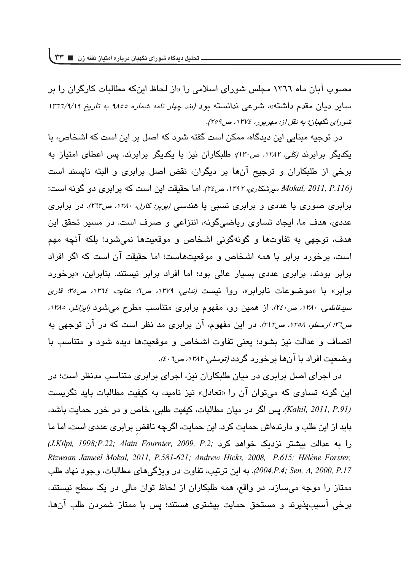مصوب آبان ماه ١٣٦٦ مجلس شورای اسلامی را «از لحاظ اینکه مطالبات کارگران را بر سایر دیان مقدم داشته»، شرعی ندانسته بود *(بند چهار نامه شماره ۱۸۵۵ به تاریخ ۱۳٦٦/۹/۱۹* ش*ورای نگهبان؛ به نقل از: مهرپور، ۱۳۷٤، ص۲۰۹*).

در توجیه مبنایی این دیدگاه، ممکن است گفته شود که اصل بر این است که اشخاص، با یکدیگر برابرن*د (کلی، ۱۳۸۲، ص۱۳۰)؛* طلبکاران نیز با یکدیگر برابرند. پس اعطای امتیاز به برخی از طلبکاران و ترجیح آنها بر دیگران، نقض اصل برابری و البته نایسند است *Mokal, 2011, P.116) میرشکاری، ۱۳۹۲، ص۲۶).* اما حقیقت این است که برابری دو گونه است: برابری صوری یا عددی و برابری نسبی یا هندس*ی (پوپر؛ کارل، ۱۳۸۰، ص۲۱۳).* در برابری عددی، هدف ما، ایجاد تساوی ریاضیگونه، انتزاعی و صرف است. در مسیر تحقق این هدف، توجهي به تفاوتها و گونهگوني اشخاص و موقعیتها نمي شود؛ بلکه آنچه مهم است، برخورد برابر با همه اشخاص و موقعیتهاست؛ اما حقیقت آن است که اگر افراد برابر بودند، برابری عددی بسیار عالی بود؛ اما افراد برابر نیستند. بنابراین، «برخورد برابر» با «موضوعات نابرابر»، روا نیست *(ندایی، ١٣٧٩، ص٦: عنایت، ١٣٦٤، ص٣٥: قاری* سی*دفاطمی، ۱۳۸۰، ص۲٤۰).* از همین رو، مفهوم برابری متناسب مطرح میشود *(ایزانلو، ۱۳۸۵،* ص۳۶*: ارسطو، ۱۳۵۸، ص۳۱۳).* در این مفهوم، ان برابری مد نظر است که در ان توجهی به انصاف و عدالت نیز بشود؛ یعنی تفاوت اشخاص و موقعیتها دیده شود و متناسب با وضعیت افراد با انها برخورد گردد *(توسلی، ۱۳۸۲، ص۶۰*).

در اجرای اصل برابری در میان طلبکاران نیز، اجرای برابری متناسب مدنظر است؛ در این گونه تساوی که میتوان آن را «تعادل» نیز نامید، به کیفیت مطالبات باید نگریست *(Kahil, 2011, P.91).* پس اگر در میان مطالبات، کیفیت طلبی، خاص و در خور حمایت باشد، باید از این طلب و دارندهاش حمایت کرد. این حمایت، اگرچه ناقض برابری عددی است، اما ما ' ` qb` sdzW t%OV oq sP%*; .2P 2009, ,Fournier Alain; .22P;1998 ,Kilpi.J( Rizwaan Jameel Mokal, 2011, P.581-621; Andrew Hicks, 2008, P.615; Hélène Forster,* 2004,P.4; Sen, A, 2000, P.17. به اين ترتيب، تفاوت در ويژگي هاي مطالبات، وجود نهاد طلب ممتاز را موجه میسازد. در واقع، همه طلبکاران از لحاظ توان مالی در یک سطح نیستند، برخی آسیبیذیرند و مستحق حمایت بیشتری هستند؛ پس با ممتاز شمردن طلب آنها،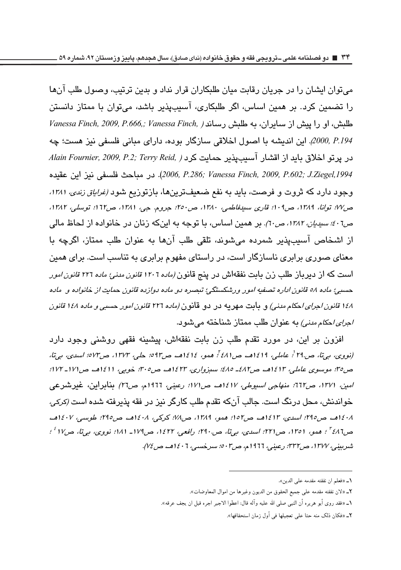**34 دو فصلنامه علمی ـ ترویجی فقه و حقوق خانواده )ندای صادق(، سال هجدهم، پاییز وزمستان ،92 شماره 59**

می قوان ایشان را در جریان رقابت میان طلبکاران قرار نداد و بدین ترتیب، وصول طلب آنها را تضمین کرد. بر همین اساس، اگر طلبکاری، آسیبپذیر باشد، میتوان با ممتاز دانستن  $V$ anessa Finch, 2009, P.666,; *Vanessa Finch, ) طلبش، او را پیش از س*ایران، به طلبش رساند *2000, P.194. ا*ين انديشه يا اصول اخلاقي سازگار بوده، داراي مياني فلسفي نيز هست؛ چه  $A$ lain Fournier, 2009, P.2; Terry Reid, *1 كرد Alain Fournier, 2009, P.2*; *Terry Reid, ) ,1994Ziegel.J; .602P 2009, ,Finch Vanessa; .286P 2006,* %'a^elwUtWVqW8 وجود دارد که ثروت و فرصت، باید به نفع ضعیفترینها، بازتوزیع شود *(غراباق زندی، ۱۳۸۱،* ص١٧٪ توانا، ١٣٨٩، ص٢٠٩؛ قارى سىيەفاطمى، ١٣٨٠، ص٥٠: جروم. جى، ١٣٨١، ص١٦٢؛ توسلى، ١٣٨٢، ص*۲۰۱: سیدیان، ۱۳۸۲، ص*۲۰). بر همین اساس، با توجه به اینکه زنان در خانواده از لحاظ مالی از اشخاص آسیبیذیر شمرده میشوند، تلقی طلب آنها به عنوان طلب ممتاز، اگرچه با معنای صوری برابری ناسازگار است، در راستای مفهوم برابری به تناسب است. برای همین است که از دیرباز طلب زن بابت نفقهاش در پنج قانون *(ماده ۱۲۰*۲ *قانون مدنئ ماده ۲۲*۲ *قانون امور* حسبي؛ ماده ٥٨ قانون اداره تصفيه امور ورشكستگي؛ تبصره دو ماده دوازده قانون حمايت از خانواده و ماده ۱*٤۸ قانون اجرای احکام مدنی) و* ب**ابت** مهریه در دو قانون *(ماده ۲۲*۲ ق*انون امور حسبی و ماده ۱٤۸ قانون /جرای احکام مدنی)* به عنوان طلب ممتاز شناخته می شود.

افزون بر این، در مورد تقدم طلب زن بابت نفقهاش، پیشینه فقهی روشنی وجود دارد *~y )~   & vR@ & [W1G@EJ vxEj@)~  & {20G@EJ &*  ص°اً: موسوی عاملی، ۱۲٤۱۳هـ ص۸۲ـ ۶۸۵؛ سبزواری، ۲۳۲۱هــ ص۰۳۰. خوبی، ۱۱۱۱هــ ص۱۷۱ـ ۱۷۲: /منين ١٢٧١، ص٦1۲: منهاجي *اسيوطي، ١٤١٧هــ ص١٧١: رعيني،* ١٩٦٦م، ص٢٦/ بنابراين، غيرشىرعى خواندنش، محل درنگ است. جالب آنکه تقدم طلب کارگر نیز در فقه پذیرفته شده است *(کرکی،* 131٨هـ ص190؛ اسدي، ١٤١٣هـ. ص١٥٢؛ همو، ١٣٨٩، ص١٧٨؛ كركي، ١٤٠٨هـ. ص140؛ طويسي، ١٤٠٧هـ. ص181<sup>7ع</sup> : همو، 1٣٥١، ص٢٢١: اسدى، بيiن، ص٢٩٠: رافعي، ١٤٢٢، ص١٧٩- ١٨١: نووى، بيiن، ص١٧<sup>٢ ؛</sup> : شربین*ی، ۱۳۷۷، ص۳۳۲: ر*عین*ی،* ۱۹۱۲م*، ص۵۰۳: سرخسی، ۱٤۰*۱هـ*، ص۷٤).* 

- 1ـ «لان نفقته مقدمه على جميع الحقوق من الديون وغيرها من اموال المعاوضات».
- 1ـ «فقد روى أبو هريره أن النبي صلى الله عليه واله قال: اعطوا الاجير اجره قبل ان يجف عرقه».
	- 5ــ «فكان ذلك منه حثا على تعجيلها في أول زمان استحقاقها».

<sup>1</sup>\_ «فعلم ان نفقته مقدمه على الدين».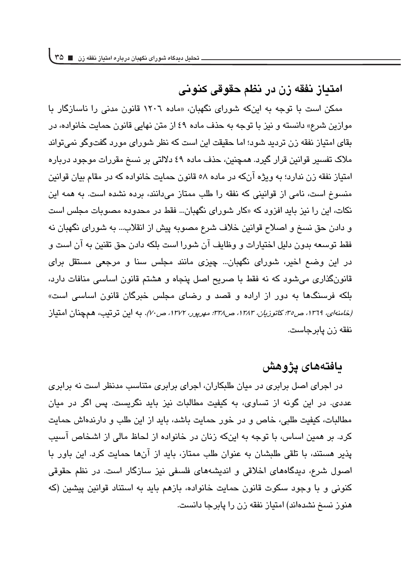## ام**تیاز نفقه زن در نظم حقوقی کنونی**

ممکن است با توجه به اینکه شورای نگهبان، «ماده ۱۲۰۲ قانون مدنی را ناسازگار با موازین شرع» دانسته و نیز با توجه به حذف ماده ٤٩ از متن نهایی قانون حمایت خانواده، در بقای امتیاز نفقه زن تردید شود؛ اما حقیقت این است که نظر شورای مورد گفتوگو نمی تواند ملاک تفسیر قوانین قرار گیرد. همچنین، حذف ماده ٤٩ دلالتی بر نسخ مقررات موجود درباره امتياز نفقه زن نداري؛ په ويژه آنكه در ماده ٥٨ قانون حمايت خانواده كه در مقام بيان قوانين منسوخ است، نامی از قوانینی که نفقه را طلب ممتاز میدانند، برده نشده است. به همه این نکات، این را نیز باید افزود که «کار شورای نگهبان… فقط در محدوده مصوبات مجلس است و دادن حق نسخ و اصلاح قوانین خلاف شرع مصوبه پیش از انقلاب… به شورای نگهبان نه فقط توسعه بدون دليل اختيارات و وظايف آن شورا است بلكه دادن حق تقنين به آن است و در این وضع اخیر، شورای نگهبان... چیزی مانند مجلس سنا و مرجعی مستقل برای قانونگذاری میشود که نه فقط با صریح اصل پنجاه و هشتم قانون اساسی منافات دارد، بلکه فرسنگها به دور از اراده و قصد و رضای مجلس خبرگان قانون اساسی است» *(خامنهای، ١٣٦٩، ص٣٥: کاتوزیان، ١٣٨٣، ص٣٨: مهرپور، ١٣٧٢، ص٧٠).* به این ترتیب، همچنان امتیاز نفقه زن يابرجاست.

### **بافت**ەھاي يژوهش

در اجرای اصل برابری در میان طلبکاران، اجرای برابری متناسب مدنظر است نه برابری عددی. در این گونه از تساوی، به کیفیت مطالبات نیز باید نگریست. پس اگر در میان مطالبات، كيفيت طلبي، خاص و در خور حمايت باشد، بايد از اين طلب و دارندهاش حمايت کرد. بر همین اساس، با توجه به اینکه زنان در خانواده از لحاظ مالی از اشخاص آسیب پذیر هستند، با تلقی طلبشان به عنوان طلب ممتاز، باید از آنها حمایت کرد. این باور با اصول شرع، دیدگاههای اخلاقی و اندیشههای فلسفی نیز سازگار است. در نظم حقوقی کنونی و با وجود سکوت قانون حمایت خانواده، بازهم باید به استناد قوانین پیشین (که هنوز نسخ نشدهاند) امتیاز نفقه زن را پایرجا دانست.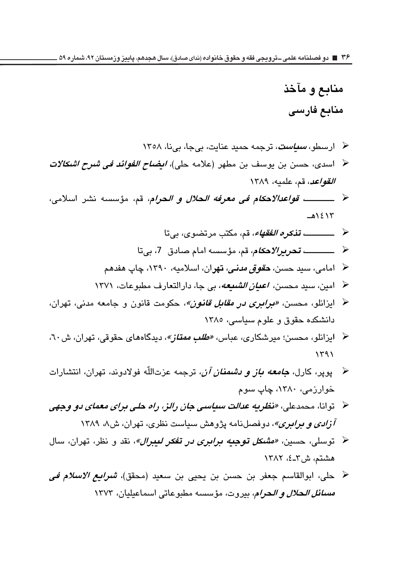# م**ن**ابع و مآخذ م**نائع فارسی**

- \* ارسطو، *س<mark>یاست</mark>،* ترجمه حمید عنایت، بیجا، بینا، ۱۳۰۸ <sup>حم</sup> اسدی، حسن بن یوسف بن مطهر (علامه حلی)، *ایضاح الفوائد فی شرح اشکالات القواعد،* قم، علميه، ١٣٨٩ - 1111111111 *rSjN5@% o9 oUkx }Ou\$ (UOu%* wvZ sz v¦U ١٤١٣هـ - 1111111111 *TE4U'spu
@* dQ\_cs;`cU^  $\rightarrow$  1111111111 *UOE:UN5@%* wvZ^6^|73%`cU^ خ امامی، سید حسن، *حق<i>وق مدنی،* **تهر**ان، اسلامیه، ۱۳۹۰، چاپ هفدهم ح امین، سید محسن، *اعیان الشیعه*، بی جا، دارالتعارف مطبوعات، ۱۳۷۱ <sup>ع</sup> ایزانلو، محسن، *«بر<i>ابری در مقابل قانون»،* **ح**کومت قانون و جامعه مدنی، تهران، دانشکده حقوق و علوم سیاسی، ١٣٨٥ <sup>ه</sup> ایزانلو، محسن؛ میرشکاری، عباس، *«طلب ممتاز»*، دیدگاههای حقوقی، تهران، ش۲۰،  $1591$
- ح پوپر، کارل، *جامعه باز و دشمنان آن،* ترجمه عزتاللّه فولادوند، تهران، انتشارات خوارزمی، ۱۳۸۰، چاپ سوم
- ح توانا، محمدعلی، *«نظریه عدالت سیاسی جان رالز، راه حلی برای معمای دو وجهی آزادی و برابری»*، دوفصلنامه پژوهش سیاست نظری، تهران، ش۸، ۱۳۸۹
- خر توسلی، حسین، *«مشک<mark>ل توجیه برابری در تفکر لیبرال»*، نقد و نظر، تهران، سال</mark> هشتم، ش۲\_٤، ۱۳۸۲
- خ حلي، ابوالقاسم جعفر بن حسن بن يحيى بن سعيد (محقق)، *شرايع الاسلام في مسائل الحلال و الحرام*، بيروت، مؤسسه مطبوعاتي اسماعيليان، ١٣٧٣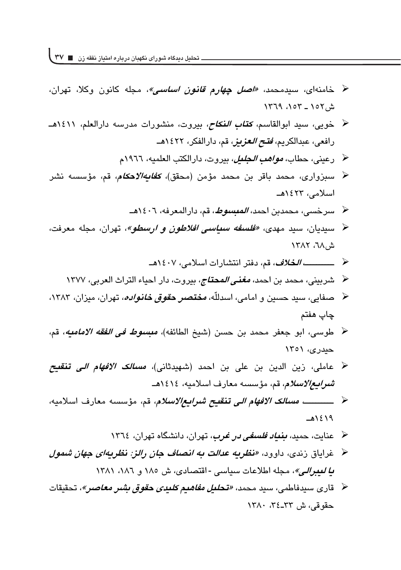- خ خامنهای، سیدمحمد، *«اصل چه<i>ارم قانون اساسی»،* مجله کانون وکلا، تهران، ش۱۵۲ ـ ۱۵۲، ۱۳۶۹
	- <sup>ح </sup> خویی، سید ابوالقاسم، *کتاب النکاح،* بیروت، منشورات مدرسه دارالعلم، ۱٤۱۱هــ رافعی، عبدالکریم، *فتح العزیز،* قم، دارالفکر، ۱۶۲۲هــ
		- ح رعين*ى،* حطاب، *مواهب الجليل*، بيروت، دارالكتب العلميه، ١٩٦٦م
- <sup>كى</sup> سىبزوارى، محمد باقر بن محمد مؤمن (محقق)، *كفايه/لاحكام،* قم، مؤسسىه نشر اسلامى، ۱۶۲۳ھـ
	- ح سرخسي، محمدبن احمد، *المبسوط*، قم، دارالمعرفه، ١٤٠٦هـ
- <sup>عم</sup> سیدیان، سید مهدی، *«فلسفه سیاسی افلاطون و ارسطو»*، تهران، مجله معرفت، ش۲۸، ۱۳۸۲
	- 1111111111*Ru!* %sdzd '^v¦ 1
	- <sup>ـ ا</sup> شربيني، محمد بن احمد، *مغنى المحتاج*، بيروت، دار احياء التراث العربي، ١٣٧٧
- <sup>ع</sup> حقایی، سید حسین و امامی، اسدللّه، *مختصر حقوق خانواده*، تهران، میزان، ۱۳۸۳، چاپ هفتم
- خ طوسى، ابو جعفر محمد بن حسن (شيخ الطائفه)، *مبسوط في الفقه الاماميه*، قم، حیدری، ۱۳۵۱
- خ عاملی، زین الدین بن علی بن احمد (شهیدثانی)، *مسالک الافهام الی* **تنقیح** شر *ابع الاسلام*، قم، مؤسسه معارف اسلاميه، ١٤١٤هـ
- 1111111111 *Yx@u3o@%u9E|s;M[U:iX%* wvZ '^2v¦W ۱٤١٩هـ
	- <sup>ه</sup> حنایت، حمید، *بنی<i>اد فلسفی در غرب***،** تهران، دانشگاه تهران، ۱۳۲۶
- خ خرایاق زندی، داوود، *«نظریه عدالت به انصاف جان رالز: نظریهای جهان شمول* ط *لعبرالي»*، مجله اطلاعات سياسي - اقتصادي، ش ١٨٥ و ١٢٨١، ١٣٨١
- خ قاری سیدفاطمی، سید محمد، *«تح<i>لیل مفاهیم کلیدی حقوق بشر معاصر»،* **ت**حقیقات  $\Delta Y$ حقوقے، ش ۳۲–۳۶، ۱۳۸۰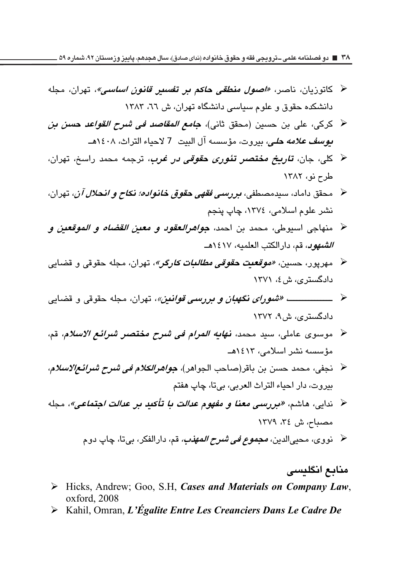۳۸ ∎ دو فصلنامه علمی ــترویجی فقه و حقوق خانواده (ندای صادق)، سال هجدهم، پاییز وزمستان ۹۲، شماره ۵۹ .

- ﴿ كاتوزيان، ناصر، *«اصول منطقى حاكم بر تف<i>سير قانون اساسي»***، ت**هران، مجله دانشکده حقوق و علوم سیاسی دانشگاه تهران، ش ٦٦، ١٣٨٣
- ﴿ كركي، على بن حسين (محقق ثاني)، *جامع المقاصد في شرح القواعد حسن بن* بوسف علامه حلى، بيروت، مؤسسه آل البيت 7 لاحياء التراث، ١٤٠٨هـ
- ﴿ كلَّى، جان، *تاريخ مختصر تئوري حقوقي در غرب*، ترجمه محمد راسخ، تهران، طرح نو، ١٣٨٢
- ﴿ مَحقق داماد، سيدمصطفى، *بررسمي فقهي حقوق خانواده؛ نكاح و انحلال آن*، تهران، نشر علوم اسلامي، ١٣٧٤، چاپ پنجم
- ح منهاجي اسيوطي، محمد بن احمد، *جواهرالعقود و معين القضاه و الموقعين و* الشهول، قم، دارالكتب العلميه، ١٤١٧هـ
- ﴿ مهريور، حسين، *«موقعيت حقوقي مطالبات كارگر»*، تهران، مجله حقوقي و قضايي دادگستری، ش ٤، ١٣٧١
- دادگستری، ش ۹، ۱۳۷۲
- ≺ موسوى عاملي، سيد محمد، **ن***هابه المرام في شرح مختصر شرائع الاسلام***،** قم، مؤسسه نشر اسلامی، ۱۲٤۱۲هـ
- ﴿ نَجِفِي، محمد حسن بن باقر(صاحب الجواهر)، *جواهرالكلام في شرح شرائـع|لاسلام*، بيروت، دار احياء التراث العربي، بيتا، چاپ هفتم
- < ندايي، هاشم، «بررسي معنا و مفهوم عد*الت با تأكيد بر عدالت اجتماعي»*، مجله مصباح، ش ٣٤، ١٣٧٩
	- ﴿ نووي، محيىالدين، *مجموع في شرح المهذب،* قم، دارالفكر، بيتا، چاپ دوم

#### منابع انگلیسی

- > Hicks, Andrew; Goo, S.H. Cases and Materials on Company Law, oxford, 2008
- $\triangleright$  Kahil, Omran, L'Égalite Entre Les Creanciers Dans Le Cadre De